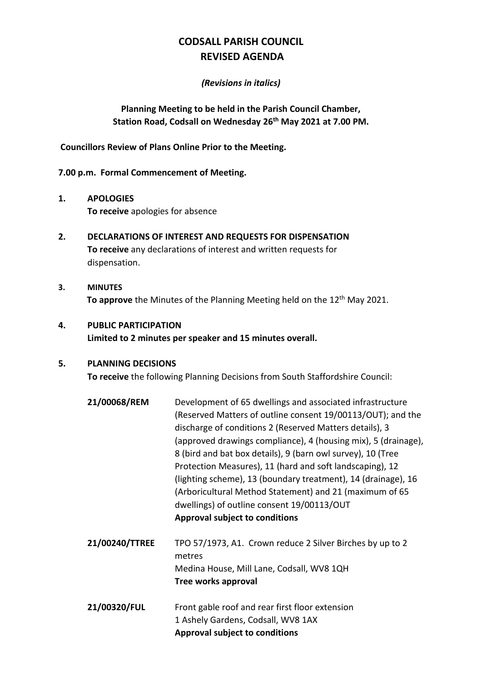# **CODSALL PARISH COUNCIL REVISED AGENDA**

#### *(Revisions in italics)*

## **Planning Meeting to be held in the Parish Council Chamber, Station Road, Codsall on Wednesday 26th May 2021 at 7.00 PM.**

#### **Councillors Review of Plans Online Prior to the Meeting.**

#### **7.00 p.m. Formal Commencement of Meeting.**

- **1. APOLOGIES To receive** apologies for absence
- **2. DECLARATIONS OF INTEREST AND REQUESTS FOR DISPENSATION To receive** any declarations of interest and written requests for dispensation.
- **3. MINUTES** To approve the Minutes of the Planning Meeting held on the 12<sup>th</sup> May 2021.

## **4. PUBLIC PARTICIPATION Limited to 2 minutes per speaker and 15 minutes overall.**

#### **5. PLANNING DECISIONS**

**To receive** the following Planning Decisions from South Staffordshire Council:

- **21/00068/REM** Development of 65 dwellings and associated infrastructure (Reserved Matters of outline consent 19/00113/OUT); and the discharge of conditions 2 (Reserved Matters details), 3 (approved drawings compliance), 4 (housing mix), 5 (drainage), 8 (bird and bat box details), 9 (barn owl survey), 10 (Tree Protection Measures), 11 (hard and soft landscaping), 12 (lighting scheme), 13 (boundary treatment), 14 (drainage), 16 (Arboricultural Method Statement) and 21 (maximum of 65 dwellings) of outline consent 19/00113/OUT **Approval subject to conditions**
- **21/00240/TTREE** TPO 57/1973, A1. Crown reduce 2 Silver Birches by up to 2 metres Medina House, Mill Lane, Codsall, WV8 1QH **Tree works approval**
- **21/00320/FUL** Front gable roof and rear first floor extension 1 Ashely Gardens, Codsall, WV8 1AX **Approval subject to conditions**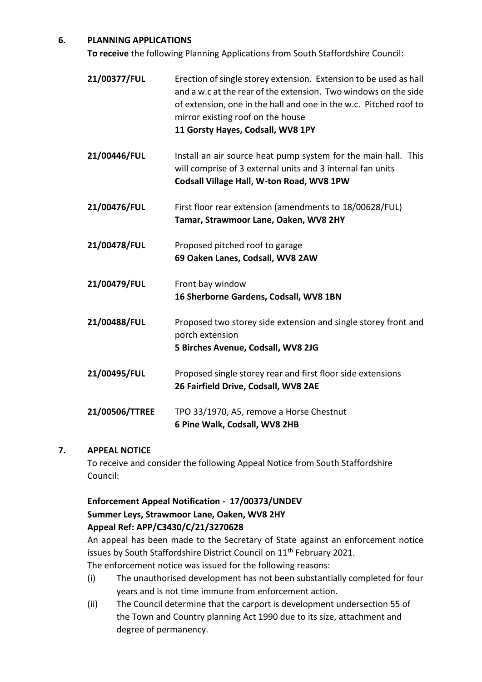## **6. PLANNING APPLICATIONS**

**To receive** the following Planning Applications from South Staffordshire Council:

- **21/00377/FUL** Erection of single storey extension. Extension to be used as hall and a w.c at the rear of the extension. Two windows on the side of extension, one in the hall and one in the w.c. Pitched roof to mirror existing roof on the house **11 Gorsty Hayes, Codsall, WV8 1PY**
- **21/00446/FUL** Install an air source heat pump system for the main hall. This will comprise of 3 external units and 3 internal fan units **Codsall Village Hall, W-ton Road, WV8 1PW**
- **21/00476/FUL** First floor rear extension (amendments to 18/00628/FUL) **Tamar, Strawmoor Lane, Oaken, WV8 2HY**
- **21/00478/FUL** Proposed pitched roof to garage **69 Oaken Lanes, Codsall, WV8 2AW**
- **21/00479/FUL** Front bay window **16 Sherborne Gardens, Codsall, WV8 1BN**
- **21/00488/FUL** Proposed two storey side extension and single storey front and porch extension **5 Birches Avenue, Codsall, WV8 2JG**
- **21/00495/FUL** Proposed single storey rear and first floor side extensions **26 Fairfield Drive, Codsall, WV8 2AE**
- **21/00506/TTREE** TPO 33/1970, A5, remove a Horse Chestnut **6 Pine Walk, Codsall, WV8 2HB**

## **7. APPEAL NOTICE**

To receive and consider the following Appeal Notice from South Staffordshire Council:

# **Enforcement Appeal Notification - 17/00373/UNDEV Summer Leys, Strawmoor Lane, Oaken, WV8 2HY Appeal Ref: APP/C3430/C/21/3270628**

An appeal has been made to the Secretary of State against an enforcement notice issues by South Staffordshire District Council on 11<sup>th</sup> February 2021. The enforcement notice was issued for the following reasons:

- (i) The unauthorised development has not been substantially completed for four years and is not time immune from enforcement action.
- (ii) The Council determine that the carport is development undersection 55 of the Town and Country planning Act 1990 due to its size, attachment and degree of permanency.